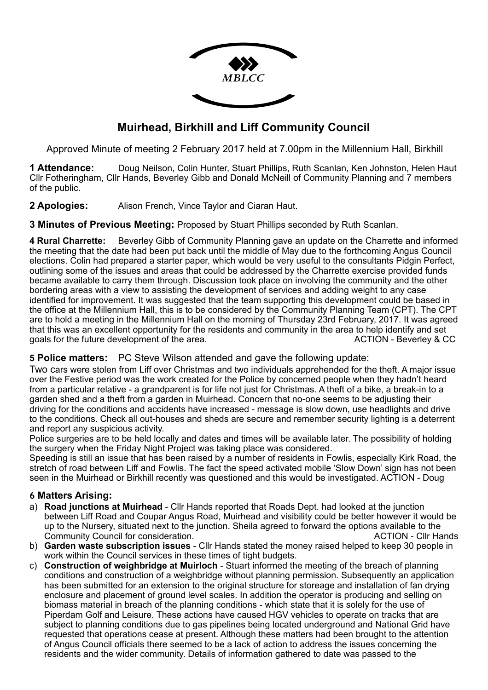

# **Muirhead, Birkhill and Liff Community Council**

Approved Minute of meeting 2 February 2017 held at 7.00pm in the Millennium Hall, Birkhill

**1 Attendance:** Doug Neilson, Colin Hunter, Stuart Phillips, Ruth Scanlan, Ken Johnston, Helen Haut Cllr Fotheringham, Cllr Hands, Beverley Gibb and Donald McNeill of Community Planning and 7 members of the public.

**2 Apologies:** Alison French, Vince Taylor and Ciaran Haut.

**3 Minutes of Previous Meeting:** Proposed by Stuart Phillips seconded by Ruth Scanlan.

**4 Rural Charrette:** Beverley Gibb of Community Planning gave an update on the Charrette and informed the meeting that the date had been put back until the middle of May due to the forthcoming Angus Council elections. Colin had prepared a starter paper, which would be very useful to the consultants Pidgin Perfect, outlining some of the issues and areas that could be addressed by the Charrette exercise provided funds became available to carry them through. Discussion took place on involving the community and the other bordering areas with a view to assisting the development of services and adding weight to any case identified for improvement. It was suggested that the team supporting this development could be based in the office at the Millennium Hall, this is to be considered by the Community Planning Team (CPT). The CPT are to hold a meeting in the Millennium Hall on the morning of Thursday 23rd February, 2017. It was agreed that this was an excellent opportunity for the residents and community in the area to help identify and set<br>aoals for the future development of the area.<br>ACTION - Beverley & CC goals for the future development of the area.

# **5 Police matters:** PC Steve Wilson attended and gave the following update:

Two cars were stolen from Liff over Christmas and two individuals apprehended for the theft. A major issue over the Festive period was the work created for the Police by concerned people when they hadn't heard from a particular relative - a grandparent is for life not just for Christmas. A theft of a bike, a break-in to a garden shed and a theft from a garden in Muirhead. Concern that no-one seems to be adjusting their driving for the conditions and accidents have increased - message is slow down, use headlights and drive to the conditions. Check all out-houses and sheds are secure and remember security lighting is a deterrent and report any suspicious activity.

Police surgeries are to be held locally and dates and times will be available later. The possibility of holding the surgery when the Friday Night Project was taking place was considered.

Speeding is still an issue that has been raised by a number of residents in Fowlis, especially Kirk Road, the stretch of road between Liff and Fowlis. The fact the speed activated mobile 'Slow Down' sign has not been seen in the Muirhead or Birkhill recently was questioned and this would be investigated. ACTION - Doug

# **6 Matters Arising:**

- a) **Road junctions at Muirhead** Cllr Hands reported that Roads Dept. had looked at the junction between Liff Road and Coupar Angus Road, Muirhead and visibility could be better however it would be up to the Nursery, situated next to the junction. Sheila agreed to forward the options available to the Community Council for consideration. The construction of the construction of the construction of the construction of the construction of the construction of the construction of the construction of the construction of the c
- b) **Garden waste subscription issues** Cllr Hands stated the money raised helped to keep 30 people in work within the Council services in these times of tight budgets.
- c) **Construction of weighbridge at Muirloch** Stuart informed the meeting of the breach of planning conditions and construction of a weighbridge without planning permission. Subsequently an application has been submitted for an extension to the original structure for storeage and installation of fan drying enclosure and placement of ground level scales. In addition the operator is producing and selling on biomass material in breach of the planning conditions - which state that it is solely for the use of Piperdam Golf and Leisure. These actions have caused HGV vehicles to operate on tracks that are subject to planning conditions due to gas pipelines being located underground and National Grid have requested that operations cease at present. Although these matters had been brought to the attention of Angus Council officials there seemed to be a lack of action to address the issues concerning the residents and the wider community. Details of information gathered to date was passed to the